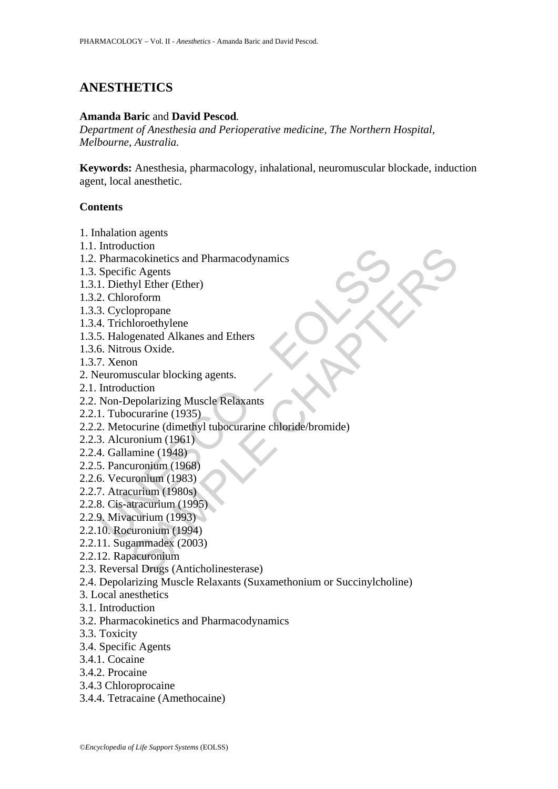# **ANESTHETICS**

#### **Amanda Baric** and **David Pescod***.*

*Department of Anesthesia and Perioperative medicine, The Northern Hospital, Melbourne, Australia.* 

**Keywords:** Anesthesia, pharmacology, inhalational, neuromuscular blockade, induction agent, local anesthetic.

# **Contents**

- 1. Inhalation agents
- 1.1. Introduction
- 1.2. Pharmacokinetics and Pharmacodynamics
- 1.3. Specific Agents
- 1.3.1. Diethyl Ether (Ether)
- 1.3.2. Chloroform
- 1.3.3. Cyclopropane
- 1.3.4. Trichloroethylene
- 1.3.5. Halogenated Alkanes and Ethers
- 1.3.6. Nitrous Oxide.
- 1.3.7. Xenon
- 2. Neuromuscular blocking agents.
- 2.1. Introduction
- 2.2. Non-Depolarizing Muscle Relaxants
- 2.2.1. Tubocurarine (1935)
- munouction<br>
Pharmacokinetics and Pharmacodynamics<br>
Specific Agents<br>
1. Diethyl Ether (Ether)<br>
2. Chloroform<br>
3. Cyclopropane<br>
4. Trichlorothylene<br>
5. Halogenated Alkanes and Ethers<br>
6. Nitrous Oxide.<br>
7. Xenon<br>
leuromuscul contraction<br>acokinetics and Pharmacodynamics<br>ic Agents<br>in the CHE (Ether)<br>opropane<br>opropane<br>opropane<br>usua Oxide.<br>In the scalar blocking agents.<br>In<br>the speaking Muscle Relaxants<br>occurrine (1985)<br>courrine (1988)<br>acurine (198 2.2.2. Metocurine (dimethyl tubocurarine chloride/bromide)
- 2.2.3. Alcuronium (1961)
- 2.2.4. Gallamine (1948)
- 2.2.5. Pancuronium (1968)
- 2.2.6. Vecuronium (1983)
- 2.2.7. Atracurium (1980s)
- 2.2.8. Cis-atracurium (1995)
- 2.2.9. Mivacurium (1993)
- 2.2.10. Rocuronium (1994)
- 2.2.11. Sugammadex (2003)
- 2.2.12. Rapacuronium
- 2.3. Reversal Drugs (Anticholinesterase)
- 2.4. Depolarizing Muscle Relaxants (Suxamethonium or Succinylcholine)
- 3. Local anesthetics
- 3.1. Introduction
- 3.2. Pharmacokinetics and Pharmacodynamics
- 3.3. Toxicity
- 3.4. Specific Agents
- 3.4.1. Cocaine
- 3.4.2. Procaine
- 3.4.3 Chloroprocaine
- 3.4.4. Tetracaine (Amethocaine)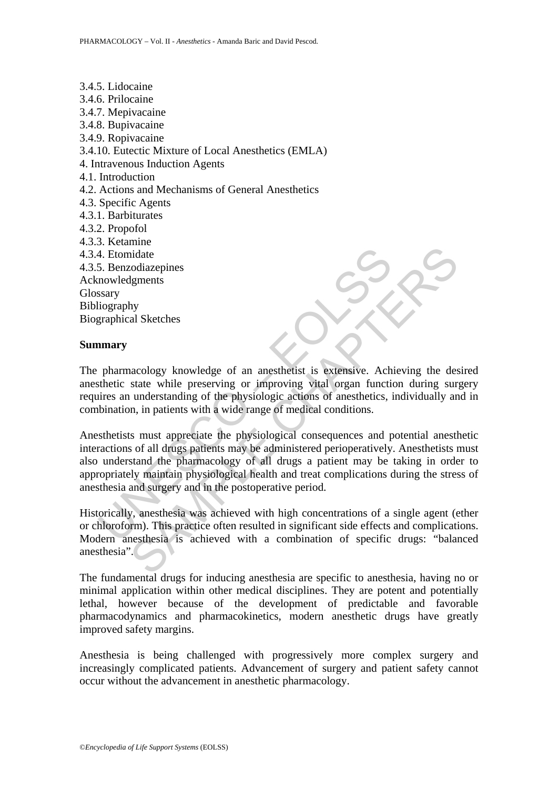4. Etomidate<br>
5. Benzodiazepines<br>
mowledgments<br>
ssary<br>
itography<br>
pharmacology knowledge of an anesthetist is extensive. Ach<br>
pharmacology knowledge of an anesthetist is extensive. Ach<br>
sthetic state while preserving or im idate<br>
idate<br>
idate<br>
idate<br>
state while preserving or improving via layers. Achieving the des<br>
state while preserving or improving via longar function during sur-<br>
in understanding of the physiologic actions of anesthetics 3.4.5. Lidocaine 3.4.6. Prilocaine 3.4.7. Mepivacaine 3.4.8. Bupivacaine 3.4.9. Ropivacaine 3.4.10. Eutectic Mixture of Local Anesthetics (EMLA) 4. Intravenous Induction Agents 4.1. Introduction 4.2. Actions and Mechanisms of General Anesthetics 4.3. Specific Agents 4.3.1. Barbiturates 4.3.2. Propofol 4.3.3. Ketamine 4.3.4. Etomidate 4.3.5. Benzodiazepines Acknowledgments Glossary Bibliography Biographical Sketches

#### **Summary**

The pharmacology knowledge of an anesthetist is extensive. Achieving the desired anesthetic state while preserving or improving vital organ function during surgery requires an understanding of the physiologic actions of anesthetics, individually and in combination, in patients with a wide range of medical conditions.

Anesthetists must appreciate the physiological consequences and potential anesthetic interactions of all drugs patients may be administered perioperatively. Anesthetists must also understand the pharmacology of all drugs a patient may be taking in order to appropriately maintain physiological health and treat complications during the stress of anesthesia and surgery and in the postoperative period.

Historically, anesthesia was achieved with high concentrations of a single agent (ether or chloroform). This practice often resulted in significant side effects and complications. Modern anesthesia is achieved with a combination of specific drugs: "balanced anesthesia".

The fundamental drugs for inducing anesthesia are specific to anesthesia, having no or minimal application within other medical disciplines. They are potent and potentially lethal, however because of the development of predictable and favorable pharmacodynamics and pharmacokinetics, modern anesthetic drugs have greatly improved safety margins.

Anesthesia is being challenged with progressively more complex surgery and increasingly complicated patients. Advancement of surgery and patient safety cannot occur without the advancement in anesthetic pharmacology.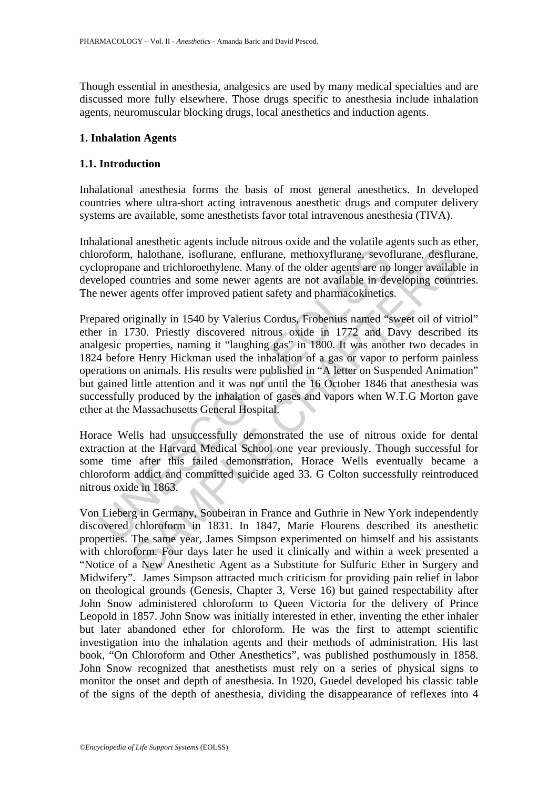Though essential in anesthesia, analgesics are used by many medical specialties and are discussed more fully elsewhere. Those drugs specific to anesthesia include inhalation agents, neuromuscular blocking drugs, local anesthetics and induction agents.

#### **1. Inhalation Agents**

# **1.1. Introduction**

Inhalational anesthesia forms the basis of most general anesthetics. In developed countries where ultra-short acting intravenous anesthetic drugs and computer delivery systems are available, some anesthetists favor total intravenous anesthesia (TIVA).

Inhalational anesthetic agents include nitrous oxide and the volatile agents such as ether, chloroform, halothane, isoflurane, enflurane, methoxyflurane, sevoflurane, desflurane, cyclopropane and trichloroethylene. Many of the older agents are no longer available in developed countries and some newer agents are not available in developing countries. The newer agents offer improved patient safety and pharmacokinetics.

roform, halothane, isoflurane, enflurane, methoxyflurane, sevot<br>opropane and trichloroethylene. Many of the older agents are no<br>eloped countries and some newer agents are not available in de<br>newer agents offer improved pat in, halothane, isoflurane, enflurane, methoxyflurane, sevoflurane, desflure and trichloroethylene. Many of the older agents are no longer available countries and some newer agents are not available in developing count agen Prepared originally in 1540 by Valerius Cordus, Frobenius named "sweet oil of vitriol" ether in 1730. Priestly discovered nitrous oxide in 1772 and Davy described its analgesic properties, naming it "laughing gas" in 1800. It was another two decades in 1824 before Henry Hickman used the inhalation of a gas or vapor to perform painless operations on animals. His results were published in "A letter on Suspended Animation" but gained little attention and it was not until the 16 October 1846 that anesthesia was successfully produced by the inhalation of gases and vapors when W.T.G Morton gave ether at the Massachusetts General Hospital.

Horace Wells had unsuccessfully demonstrated the use of nitrous oxide for dental extraction at the Harvard Medical School one year previously. Though successful for some time after this failed demonstration, Horace Wells eventually became a chloroform addict and committed suicide aged 33. G Colton successfully reintroduced nitrous oxide in 1863.

Von Lieberg in Germany, Soubeiran in France and Guthrie in New York independently discovered chloroform in 1831. In 1847, Marie Flourens described its anesthetic properties. The same year, James Simpson experimented on himself and his assistants with chloroform. Four days later he used it clinically and within a week presented a "Notice of a New Anesthetic Agent as a Substitute for Sulfuric Ether in Surgery and Midwifery". James Simpson attracted much criticism for providing pain relief in labor on theological grounds (Genesis, Chapter 3, Verse 16) but gained respectability after John Snow administered chloroform to Queen Victoria for the delivery of Prince Leopold in 1857. John Snow was initially interested in ether, inventing the ether inhaler but later abandoned ether for chloroform. He was the first to attempt scientific investigation into the inhalation agents and their methods of administration. His last book, "On Chloroform and Other Anesthetics", was published posthumously in 1858. John Snow recognized that anesthetists must rely on a series of physical signs to monitor the onset and depth of anesthesia. In 1920, Guedel developed his classic table of the signs of the depth of anesthesia, dividing the disappearance of reflexes into 4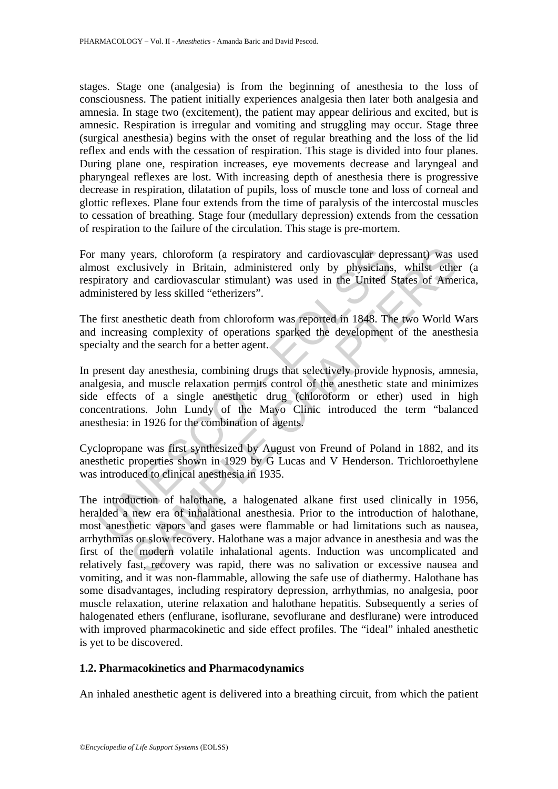stages. Stage one (analgesia) is from the beginning of anesthesia to the loss of consciousness. The patient initially experiences analgesia then later both analgesia and amnesia. In stage two (excitement), the patient may appear delirious and excited, but is amnesic. Respiration is irregular and vomiting and struggling may occur. Stage three (surgical anesthesia) begins with the onset of regular breathing and the loss of the lid reflex and ends with the cessation of respiration. This stage is divided into four planes. During plane one, respiration increases, eye movements decrease and laryngeal and pharyngeal reflexes are lost. With increasing depth of anesthesia there is progressive decrease in respiration, dilatation of pupils, loss of muscle tone and loss of corneal and glottic reflexes. Plane four extends from the time of paralysis of the intercostal muscles to cessation of breathing. Stage four (medullary depression) extends from the cessation of respiration to the failure of the circulation. This stage is pre-mortem.

For many years, chloroform (a respiratory and cardiovascular depressant) was used almost exclusively in Britain, administered only by physicians, whilst ether (a respiratory and cardiovascular stimulant) was used in the United States of America, administered by less skilled "etherizers".

The first anesthetic death from chloroform was reported in 1848. The two World Wars and increasing complexity of operations sparked the development of the anesthesia specialty and the search for a better agent.

many years, chloroform (a respiratory and cardiovascular depost exclusively in Britain, administered only by physicians<br>iratory and cardiovascular stimulant) was used in the United S<br>inistered by less skilled "etherizers". In present day anesthesia, combining drugs that selectively provide hypnosis, amnesia, analgesia, and muscle relaxation permits control of the anesthetic state and minimizes side effects of a single anesthetic drug (chloroform or ether) used in high concentrations. John Lundy of the Mayo Clinic introduced the term "balanced anesthesia: in 1926 for the combination of agents.

Cyclopropane was first synthesized by August von Freund of Poland in 1882, and its anesthetic properties shown in 1929 by G Lucas and V Henderson. Trichloroethylene was introduced to clinical anesthesia in 1935.

years, chloroform (a respiratory and cardiovascular depressant) was clusively in Britain, administered only by physicians, whilst ethe and cardiovascular stimulant) was used in the United States of Ame ed by less skilled " The introduction of halothane, a halogenated alkane first used clinically in 1956, heralded a new era of inhalational anesthesia. Prior to the introduction of halothane, most anesthetic vapors and gases were flammable or had limitations such as nausea, arrhythmias or slow recovery. Halothane was a major advance in anesthesia and was the first of the modern volatile inhalational agents. Induction was uncomplicated and relatively fast, recovery was rapid, there was no salivation or excessive nausea and vomiting, and it was non-flammable, allowing the safe use of diathermy. Halothane has some disadvantages, including respiratory depression, arrhythmias, no analgesia, poor muscle relaxation, uterine relaxation and halothane hepatitis. Subsequently a series of halogenated ethers (enflurane, isoflurane, sevoflurane and desflurane) were introduced with improved pharmacokinetic and side effect profiles. The "ideal" inhaled anesthetic is yet to be discovered.

# **1.2. Pharmacokinetics and Pharmacodynamics**

An inhaled anesthetic agent is delivered into a breathing circuit, from which the patient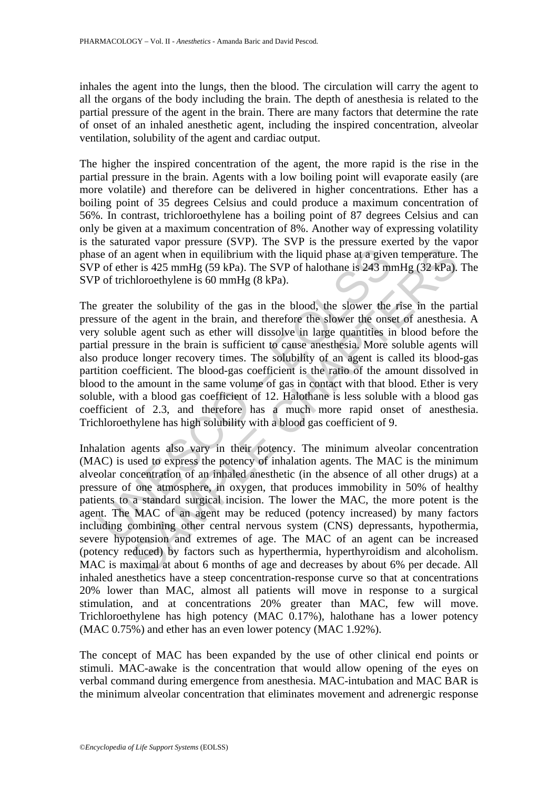inhales the agent into the lungs, then the blood. The circulation will carry the agent to all the organs of the body including the brain. The depth of anesthesia is related to the partial pressure of the agent in the brain. There are many factors that determine the rate of onset of an inhaled anesthetic agent, including the inspired concentration, alveolar ventilation, solubility of the agent and cardiac output.

The higher the inspired concentration of the agent, the more rapid is the rise in the partial pressure in the brain. Agents with a low boiling point will evaporate easily (are more volatile) and therefore can be delivered in higher concentrations. Ether has a boiling point of 35 degrees Celsius and could produce a maximum concentration of 56%. In contrast, trichloroethylene has a boiling point of 87 degrees Celsius and can only be given at a maximum concentration of 8%. Another way of expressing volatility is the saturated vapor pressure (SVP). The SVP is the pressure exerted by the vapor phase of an agent when in equilibrium with the liquid phase at a given temperature. The SVP of ether is 425 mmHg (59 kPa). The SVP of halothane is 243 mmHg (32 kPa). The SVP of trichloroethylene is 60 mmHg (8 kPa).

is e of an agent when in equilibrium with the liquid phase at a give<br>
<sup>2</sup> of ether is 425 mmHg (59 kPa). The SVP of halothane is 243 m<br>
<sup>2</sup> of trichloroethylene is 60 mmHg (8 kPa).<br>
2 of trichloroethylene is 60 mmHg (8 kPa The greater the solubility of the gas in the blood, the slower the rise in the partial pressure of the agent in the brain, and therefore the slower the onset of anesthesia. A very soluble agent such as ether will dissolve in large quantities in blood before the partial pressure in the brain is sufficient to cause anesthesia. More soluble agents will also produce longer recovery times. The solubility of an agent is called its blood-gas partition coefficient. The blood-gas coefficient is the ratio of the amount dissolved in blood to the amount in the same volume of gas in contact with that blood. Ether is very soluble, with a blood gas coefficient of 12. Halothane is less soluble with a blood gas coefficient of 2.3, and therefore has a much more rapid onset of anesthesia. Trichloroethylene has high solubility with a blood gas coefficient of 9.

and agent when in equilibrium with the liquid phase at a given temperature.<br>
er is 425 mmHg (59 kPa). The SVP of halothane is 243 mmHg (32 kPa).<br>
hloroethylene is 60 mmHg (8 kPa).<br>
hloroethylene is 60 mmHg (8 kPa).<br>
hloro Inhalation agents also vary in their potency. The minimum alveolar concentration (MAC) is used to express the potency of inhalation agents. The MAC is the minimum alveolar concentration of an inhaled anesthetic (in the absence of all other drugs) at a pressure of one atmosphere, in oxygen, that produces immobility in 50% of healthy patients to a standard surgical incision. The lower the MAC, the more potent is the agent. The MAC of an agent may be reduced (potency increased) by many factors including combining other central nervous system (CNS) depressants, hypothermia, severe hypotension and extremes of age. The MAC of an agent can be increased (potency reduced) by factors such as hyperthermia, hyperthyroidism and alcoholism. MAC is maximal at about 6 months of age and decreases by about 6% per decade. All inhaled anesthetics have a steep concentration-response curve so that at concentrations 20% lower than MAC, almost all patients will move in response to a surgical stimulation, and at concentrations 20% greater than MAC, few will move. Trichloroethylene has high potency (MAC 0.17%), halothane has a lower potency (MAC 0.75%) and ether has an even lower potency (MAC 1.92%).

The concept of MAC has been expanded by the use of other clinical end points or stimuli. MAC-awake is the concentration that would allow opening of the eyes on verbal command during emergence from anesthesia. MAC-intubation and MAC BAR is the minimum alveolar concentration that eliminates movement and adrenergic response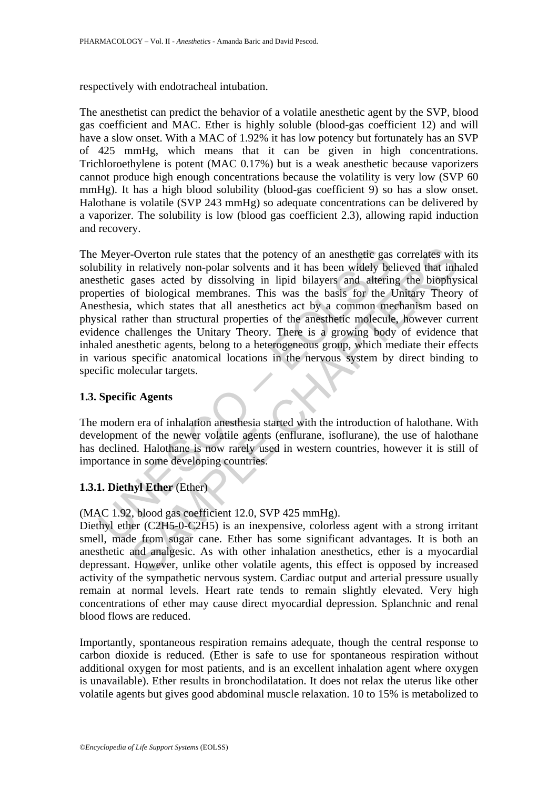respectively with endotracheal intubation.

The anesthetist can predict the behavior of a volatile anesthetic agent by the SVP, blood gas coefficient and MAC. Ether is highly soluble (blood-gas coefficient 12) and will have a slow onset. With a MAC of 1.92% it has low potency but fortunately has an SVP of 425 mmHg, which means that it can be given in high concentrations. Trichloroethylene is potent (MAC 0.17%) but is a weak anesthetic because vaporizers cannot produce high enough concentrations because the volatility is very low (SVP 60 mmHg). It has a high blood solubility (blood-gas coefficient 9) so has a slow onset. Halothane is volatile (SVP 243 mmHg) so adequate concentrations can be delivered by a vaporizer. The solubility is low (blood gas coefficient 2.3), allowing rapid induction and recovery.

Meyer-Overton rule states that the potency of an anesthetic gas<br>bility in relatively non-polar solvents and it has been widely be<br>sthetic gases acted by dissolving in lipid bilayers and alterin<br>perties of biological membr -Overton rule states that the potency of an anesthetic gas correlates with<br>
n relatively non-polar solvents and it has been widely believed that in<br>
gases acted by dissolving in hipid bilayers and attering the biophy<br>
of The Meyer-Overton rule states that the potency of an anesthetic gas correlates with its solubility in relatively non-polar solvents and it has been widely believed that inhaled anesthetic gases acted by dissolving in lipid bilayers and altering the biophysical properties of biological membranes. This was the basis for the Unitary Theory of Anesthesia, which states that all anesthetics act by a common mechanism based on physical rather than structural properties of the anesthetic molecule, however current evidence challenges the Unitary Theory. There is a growing body of evidence that inhaled anesthetic agents, belong to a heterogeneous group, which mediate their effects in various specific anatomical locations in the nervous system by direct binding to specific molecular targets.

# **1.3. Specific Agents**

The modern era of inhalation anesthesia started with the introduction of halothane. With development of the newer volatile agents (enflurane, isoflurane), the use of halothane has declined. Halothane is now rarely used in western countries, however it is still of importance in some developing countries.

# **1.3.1. Diethyl Ether** (Ether)

(MAC 1.92, blood gas coefficient 12.0, SVP 425 mmHg).

Diethyl ether (C2H5-0-C2H5) is an inexpensive, colorless agent with a strong irritant smell, made from sugar cane. Ether has some significant advantages. It is both an anesthetic and analgesic. As with other inhalation anesthetics, ether is a myocardial depressant. However, unlike other volatile agents, this effect is opposed by increased activity of the sympathetic nervous system. Cardiac output and arterial pressure usually remain at normal levels. Heart rate tends to remain slightly elevated. Very high concentrations of ether may cause direct myocardial depression. Splanchnic and renal blood flows are reduced.

Importantly, spontaneous respiration remains adequate, though the central response to carbon dioxide is reduced. (Ether is safe to use for spontaneous respiration without additional oxygen for most patients, and is an excellent inhalation agent where oxygen is unavailable). Ether results in bronchodilatation. It does not relax the uterus like other volatile agents but gives good abdominal muscle relaxation. 10 to 15% is metabolized to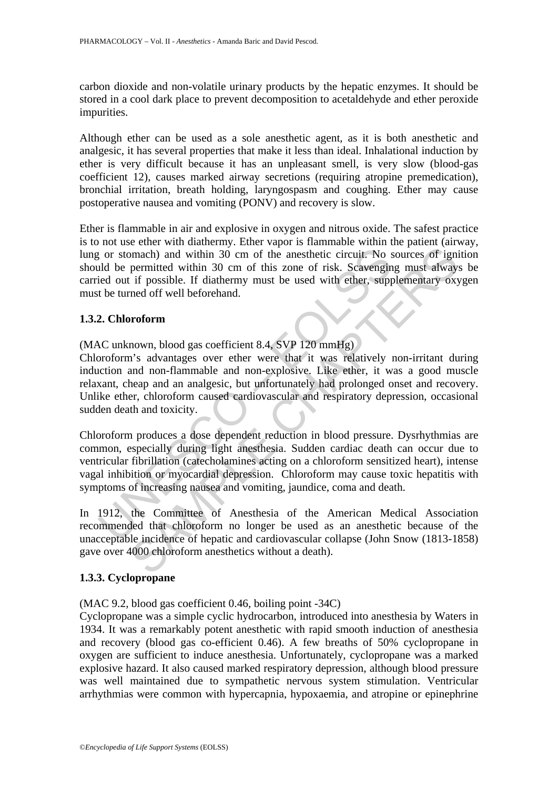carbon dioxide and non-volatile urinary products by the hepatic enzymes. It should be stored in a cool dark place to prevent decomposition to acetaldehyde and ether peroxide impurities.

Although ether can be used as a sole anesthetic agent, as it is both anesthetic and analgesic, it has several properties that make it less than ideal. Inhalational induction by ether is very difficult because it has an unpleasant smell, is very slow (blood-gas coefficient 12), causes marked airway secretions (requiring atropine premedication), bronchial irritation, breath holding, laryngospasm and coughing. Ether may cause postoperative nausea and vomiting (PONV) and recovery is slow.

Ether is flammable in air and explosive in oxygen and nitrous oxide. The safest practice is to not use ether with diathermy. Ether vapor is flammable within the patient (airway, lung or stomach) and within 30 cm of the anesthetic circuit. No sources of ignition should be permitted within 30 cm of this zone of risk. Scavenging must always be carried out if possible. If diathermy must be used with ether, supplementary oxygen must be turned off well beforehand.

# **1.3.2. Chloroform**

(MAC unknown, blood gas coefficient 8.4, SVP 120 mmHg)

relative to the ansistence of the anesthetic circuit. No stand be permitted within 30 cm of this zone of risk. Scavengin<br>tied out if possible. If diathermy must be used with ether, suppressible to the turned off well befor manch) and within 30 cm of the anesthetic circuit. No sources of ignipermitted within 30 cm of the anesthetic circuit. No sources of ignipermitted within 30 cm of this zone of risk. Scavenging must always if possible. If d Chloroform's advantages over ether were that it was relatively non-irritant during induction and non-flammable and non-explosive. Like ether, it was a good muscle relaxant, cheap and an analgesic, but unfortunately had prolonged onset and recovery. Unlike ether, chloroform caused cardiovascular and respiratory depression, occasional sudden death and toxicity.

Chloroform produces a dose dependent reduction in blood pressure. Dysrhythmias are common, especially during light anesthesia. Sudden cardiac death can occur due to ventricular fibrillation (catecholamines acting on a chloroform sensitized heart), intense vagal inhibition or myocardial depression. Chloroform may cause toxic hepatitis with symptoms of increasing nausea and vomiting, jaundice, coma and death.

In 1912, the Committee of Anesthesia of the American Medical Association recommended that chloroform no longer be used as an anesthetic because of the unacceptable incidence of hepatic and cardiovascular collapse (John Snow (1813-1858) gave over 4000 chloroform anesthetics without a death).

# **1.3.3. Cyclopropane**

(MAC 9.2, blood gas coefficient 0.46, boiling point -34C)

Cyclopropane was a simple cyclic hydrocarbon, introduced into anesthesia by Waters in 1934. It was a remarkably potent anesthetic with rapid smooth induction of anesthesia and recovery (blood gas co-efficient 0.46). A few breaths of 50% cyclopropane in oxygen are sufficient to induce anesthesia. Unfortunately, cyclopropane was a marked explosive hazard. It also caused marked respiratory depression, although blood pressure was well maintained due to sympathetic nervous system stimulation. Ventricular arrhythmias were common with hypercapnia, hypoxaemia, and atropine or epinephrine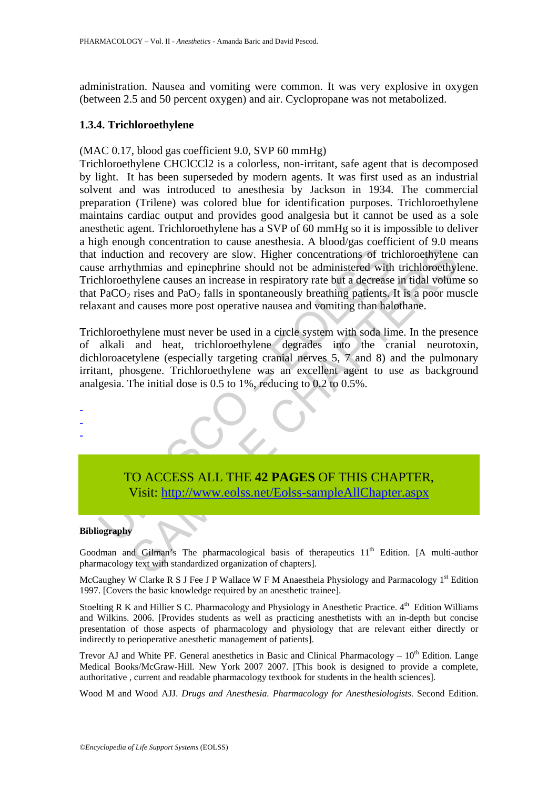administration. Nausea and vomiting were common. It was very explosive in oxygen (between 2.5 and 50 percent oxygen) and air. Cyclopropane was not metabolized.

#### **1.3.4. Trichloroethylene**

# (MAC 0.17, blood gas coefficient 9.0, SVP 60 mmHg)

induction and recovery are slow. Higher concentrations of trivian every and epinephrine should not be administered with thloroethylene causes an increase in respiratory rate but a decrease PaCO<sub>2</sub> rises and PaO<sub>2</sub> falls i From and recovery are slow. Higher concentrations of trichloroethylene<br>thmias and epinephrine should not be administered with trichloroethyls<br>the causes an increase in erspiratory rate but a decrease in trial volum<br>plane c Trichloroethylene CHClCCl2 is a colorless, non-irritant, safe agent that is decomposed by light. It has been superseded by modern agents. It was first used as an industrial solvent and was introduced to anesthesia by Jackson in 1934. The commercial preparation (Trilene) was colored blue for identification purposes. Trichloroethylene maintains cardiac output and provides good analgesia but it cannot be used as a sole anesthetic agent. Trichloroethylene has a SVP of 60 mmHg so it is impossible to deliver a high enough concentration to cause anesthesia. A blood/gas coefficient of 9.0 means that induction and recovery are slow. Higher concentrations of trichloroethylene can cause arrhythmias and epinephrine should not be administered with trichloroethylene. Trichloroethylene causes an increase in respiratory rate but a decrease in tidal volume so that PaCO<sub>2</sub> rises and PaO<sub>2</sub> falls in spontaneously breathing patients. It is a poor muscle relaxant and causes more post operative nausea and vomiting than halothane.

Trichloroethylene must never be used in a circle system with soda lime. In the presence of alkali and heat, trichloroethylene degrades into the cranial neurotoxin, dichloroacetylene (especially targeting cranial nerves 5, 7 and 8) and the pulmonary irritant, phosgene. Trichloroethylene was an excellent agent to use as background analgesia. The initial dose is 0.5 to 1%, reducing to 0.2 to 0.5%.

# TO ACCESS ALL THE **42 PAGES** OF THIS CHAPTER, Visit: http://www.eolss.net/Eolss-sampleAllChapter.aspx

#### **Bibliography**

- - -

Goodman and Gilman's The pharmacological basis of therapeutics  $11<sup>th</sup>$  Edition. [A multi-author pharmacology text with standardized organization of chapters].

McCaughey W Clarke R S J Fee J P Wallace W F M Anaestheia Physiology and Parmacology  $1<sup>st</sup>$  Edition 1997. [Covers the basic knowledge required by an anesthetic trainee].

Stoelting R K and Hillier S C. Pharmacology and Physiology in Anesthetic Practice.  $4<sup>th</sup>$  Edition Williams and Wilkins. 2006. [Provides students as well as practicing anesthetists with an in-depth but concise presentation of those aspects of pharmacology and physiology that are relevant either directly or indirectly to perioperative anesthetic management of patients].

Trevor AJ and White PF. General anesthetics in Basic and Clinical Pharmacology –  $10<sup>th</sup>$  Edition. Lange Medical Books/McGraw-Hill. New York 2007 2007. [This book is designed to provide a complete, authoritative , current and readable pharmacology textbook for students in the health sciences].

Wood M and Wood AJJ. *Drugs and Anesthesia. Pharmacology for Anesthesiologists*. Second Edition.